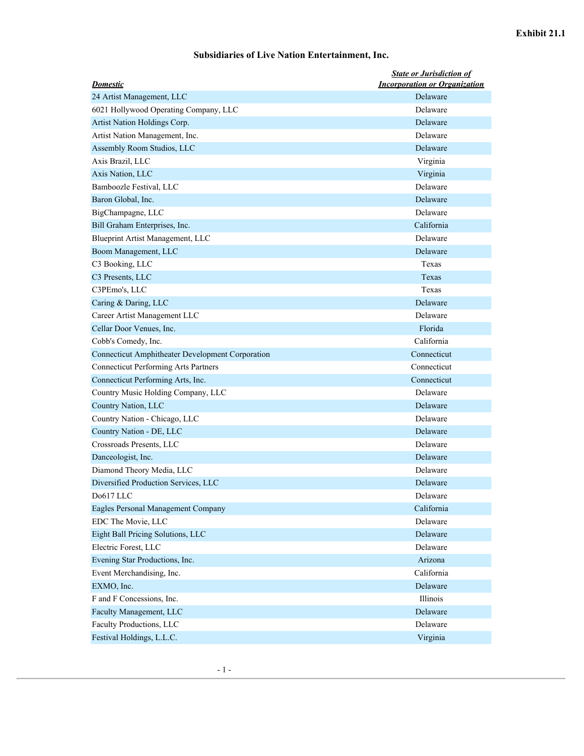## **Subsidiaries of Live Nation Entertainment, Inc.**

| <b>Domestic</b>                                  | <b>State or Jurisdiction of</b><br><b>Incorporation or Organization</b> |
|--------------------------------------------------|-------------------------------------------------------------------------|
| 24 Artist Management, LLC                        | Delaware                                                                |
| 6021 Hollywood Operating Company, LLC            | Delaware                                                                |
| Artist Nation Holdings Corp.                     | Delaware                                                                |
| Artist Nation Management, Inc.                   | Delaware                                                                |
| Assembly Room Studios, LLC                       | Delaware                                                                |
| Axis Brazil, LLC                                 | Virginia                                                                |
| Axis Nation, LLC                                 | Virginia                                                                |
| Bamboozle Festival, LLC                          | Delaware                                                                |
| Baron Global, Inc.                               | Delaware                                                                |
| BigChampagne, LLC                                | Delaware                                                                |
| Bill Graham Enterprises, Inc.                    | California                                                              |
| Blueprint Artist Management, LLC                 | Delaware                                                                |
| Boom Management, LLC                             | Delaware                                                                |
| C3 Booking, LLC                                  | Texas                                                                   |
| C3 Presents, LLC                                 | Texas                                                                   |
| C3PEmo's, LLC                                    | Texas                                                                   |
| Caring & Daring, LLC                             | Delaware                                                                |
| Career Artist Management LLC                     | Delaware                                                                |
| Cellar Door Venues, Inc.                         | Florida                                                                 |
| Cobb's Comedy, Inc.                              | California                                                              |
| Connecticut Amphitheater Development Corporation | Connecticut                                                             |
| <b>Connecticut Performing Arts Partners</b>      | Connecticut                                                             |
| Connecticut Performing Arts, Inc.                | Connecticut                                                             |
| Country Music Holding Company, LLC               | Delaware                                                                |
| Country Nation, LLC                              | Delaware                                                                |
| Country Nation - Chicago, LLC                    | Delaware                                                                |
| Country Nation - DE, LLC                         | Delaware                                                                |
| Crossroads Presents, LLC                         | Delaware                                                                |
| Danceologist, Inc.                               | Delaware                                                                |
| Diamond Theory Media, LLC                        | Delaware                                                                |
| Diversified Production Services, LLC             | Delaware                                                                |
| Do617 LLC                                        | Delaware                                                                |
| Eagles Personal Management Company               | California                                                              |
| EDC The Movie, LLC                               | Delaware                                                                |
| Eight Ball Pricing Solutions, LLC                | Delaware                                                                |
| Electric Forest, LLC                             | Delaware                                                                |
| Evening Star Productions, Inc.                   | Arizona                                                                 |
| Event Merchandising, Inc.                        | California                                                              |
| EXMO, Inc.                                       | Delaware                                                                |
| F and F Concessions, Inc.                        | Illinois                                                                |
| Faculty Management, LLC                          | Delaware                                                                |
| Faculty Productions, LLC                         | Delaware                                                                |
| Festival Holdings, L.L.C.                        | Virginia                                                                |
|                                                  |                                                                         |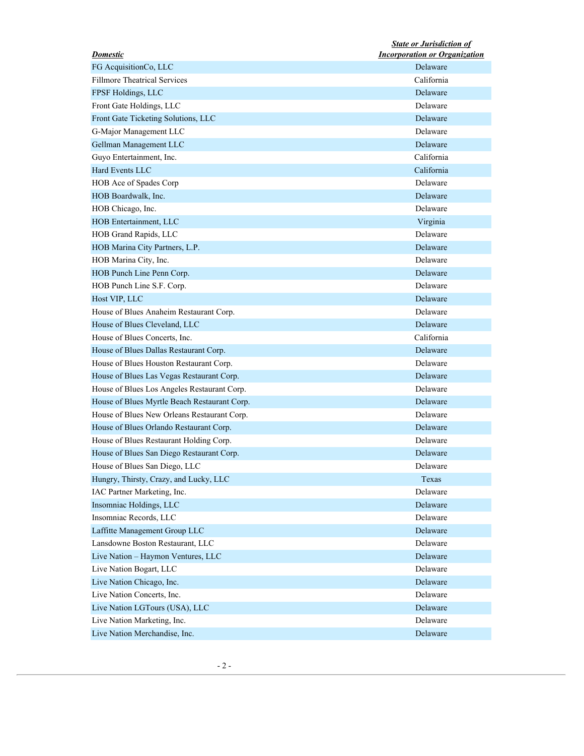| <b>Domestic</b>                              | <b>State or Jurisdiction of</b><br><b>Incorporation or Organization</b> |
|----------------------------------------------|-------------------------------------------------------------------------|
| FG AcquisitionCo, LLC                        | Delaware                                                                |
| <b>Fillmore Theatrical Services</b>          | California                                                              |
| FPSF Holdings, LLC                           | Delaware                                                                |
| Front Gate Holdings, LLC                     | Delaware                                                                |
| Front Gate Ticketing Solutions, LLC          | Delaware                                                                |
| G-Major Management LLC                       | Delaware                                                                |
| Gellman Management LLC                       | Delaware                                                                |
| Guyo Entertainment, Inc.                     | California                                                              |
| Hard Events LLC                              | California                                                              |
| HOB Ace of Spades Corp                       | Delaware                                                                |
| HOB Boardwalk, Inc.                          | Delaware                                                                |
| HOB Chicago, Inc.                            | Delaware                                                                |
| HOB Entertainment, LLC                       | Virginia                                                                |
| HOB Grand Rapids, LLC                        | Delaware                                                                |
| HOB Marina City Partners, L.P.               | Delaware                                                                |
| HOB Marina City, Inc.                        | Delaware                                                                |
| HOB Punch Line Penn Corp.                    | Delaware                                                                |
| HOB Punch Line S.F. Corp.                    | Delaware                                                                |
| Host VIP, LLC                                | Delaware                                                                |
| House of Blues Anaheim Restaurant Corp.      | Delaware                                                                |
| House of Blues Cleveland, LLC                | Delaware                                                                |
| House of Blues Concerts, Inc.                | California                                                              |
| House of Blues Dallas Restaurant Corp.       | Delaware                                                                |
| House of Blues Houston Restaurant Corp.      | Delaware                                                                |
| House of Blues Las Vegas Restaurant Corp.    | Delaware                                                                |
| House of Blues Los Angeles Restaurant Corp.  | Delaware                                                                |
| House of Blues Myrtle Beach Restaurant Corp. | Delaware                                                                |
| House of Blues New Orleans Restaurant Corp.  | Delaware                                                                |
| House of Blues Orlando Restaurant Corp.      | Delaware                                                                |
| House of Blues Restaurant Holding Corp.      | Delaware                                                                |
| House of Blues San Diego Restaurant Corp.    | Delaware                                                                |
| House of Blues San Diego, LLC                | Delaware                                                                |
| Hungry, Thirsty, Crazy, and Lucky, LLC       | Texas                                                                   |
| IAC Partner Marketing, Inc.                  | Delaware                                                                |
| Insomniac Holdings, LLC                      | Delaware                                                                |
| Insomniac Records, LLC                       | Delaware                                                                |
| Laffitte Management Group LLC                | Delaware                                                                |
| Lansdowne Boston Restaurant, LLC             | Delaware                                                                |
| Live Nation - Haymon Ventures, LLC           |                                                                         |
|                                              | Delaware                                                                |
| Live Nation Bogart, LLC                      | Delaware                                                                |
| Live Nation Chicago, Inc.                    | Delaware                                                                |
| Live Nation Concerts, Inc.                   | Delaware                                                                |
| Live Nation LGTours (USA), LLC               | Delaware                                                                |
| Live Nation Marketing, Inc.                  | Delaware                                                                |
| Live Nation Merchandise, Inc.                | Delaware                                                                |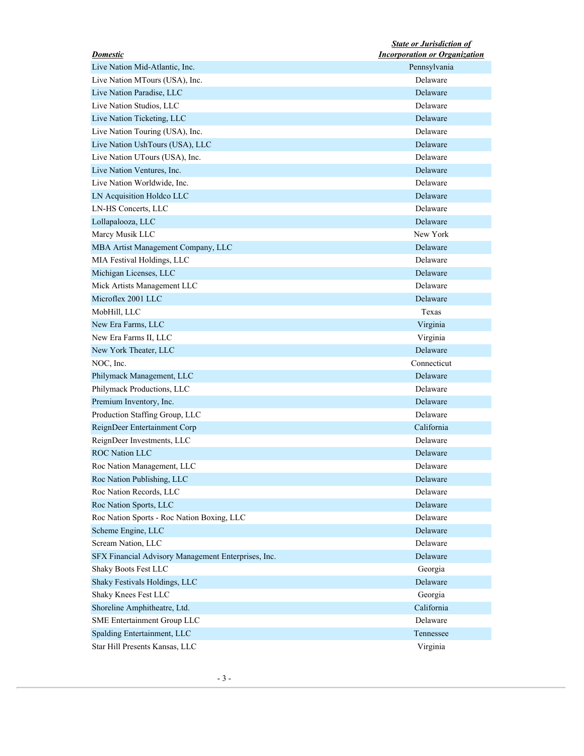| <b>Domestic</b>                                     | <b>State or Jurisdiction of</b><br><b>Incorporation or Organization</b> |
|-----------------------------------------------------|-------------------------------------------------------------------------|
| Live Nation Mid-Atlantic, Inc.                      | Pennsylvania                                                            |
| Live Nation MTours (USA), Inc.                      | Delaware                                                                |
| Live Nation Paradise, LLC                           | Delaware                                                                |
| Live Nation Studios, LLC                            | Delaware                                                                |
| Live Nation Ticketing, LLC                          | Delaware                                                                |
| Live Nation Touring (USA), Inc.                     | Delaware                                                                |
| Live Nation UshTours (USA), LLC                     | Delaware                                                                |
| Live Nation UTours (USA), Inc.                      | Delaware                                                                |
| Live Nation Ventures, Inc.                          | Delaware                                                                |
| Live Nation Worldwide, Inc.                         | Delaware                                                                |
| LN Acquisition Holdco LLC                           | Delaware                                                                |
| LN-HS Concerts, LLC                                 | Delaware                                                                |
| Lollapalooza, LLC                                   | Delaware                                                                |
| Marcy Musik LLC                                     | New York                                                                |
| MBA Artist Management Company, LLC                  | Delaware                                                                |
| MIA Festival Holdings, LLC                          | Delaware                                                                |
| Michigan Licenses, LLC                              | Delaware                                                                |
| Mick Artists Management LLC                         | Delaware                                                                |
| Microflex 2001 LLC                                  | Delaware                                                                |
| MobHill, LLC                                        | Texas                                                                   |
| New Era Farms, LLC                                  | Virginia                                                                |
| New Era Farms II, LLC                               | Virginia                                                                |
| New York Theater, LLC                               | Delaware                                                                |
| NOC, Inc.                                           | Connecticut                                                             |
| Philymack Management, LLC                           | Delaware                                                                |
| Philymack Productions, LLC                          | Delaware                                                                |
| Premium Inventory, Inc.                             | Delaware                                                                |
| Production Staffing Group, LLC                      | Delaware                                                                |
| ReignDeer Entertainment Corp                        | California                                                              |
|                                                     | Delaware                                                                |
| ReignDeer Investments, LLC<br><b>ROC Nation LLC</b> | Delaware                                                                |
|                                                     |                                                                         |
| Roc Nation Management, LLC                          | Delaware                                                                |
| Roc Nation Publishing, LLC                          | Delaware                                                                |
| Roc Nation Records, LLC                             | Delaware                                                                |
| Roc Nation Sports, LLC                              | Delaware                                                                |
| Roc Nation Sports - Roc Nation Boxing, LLC          | Delaware                                                                |
| Scheme Engine, LLC                                  | Delaware                                                                |
| Scream Nation, LLC                                  | Delaware                                                                |
| SFX Financial Advisory Management Enterprises, Inc. | Delaware                                                                |
| Shaky Boots Fest LLC                                | Georgia                                                                 |
| Shaky Festivals Holdings, LLC                       | Delaware                                                                |
| Shaky Knees Fest LLC                                | Georgia                                                                 |
| Shoreline Amphitheatre, Ltd.                        | California                                                              |
| SME Entertainment Group LLC                         | Delaware                                                                |
| Spalding Entertainment, LLC                         | Tennessee                                                               |
| Star Hill Presents Kansas, LLC                      | Virginia                                                                |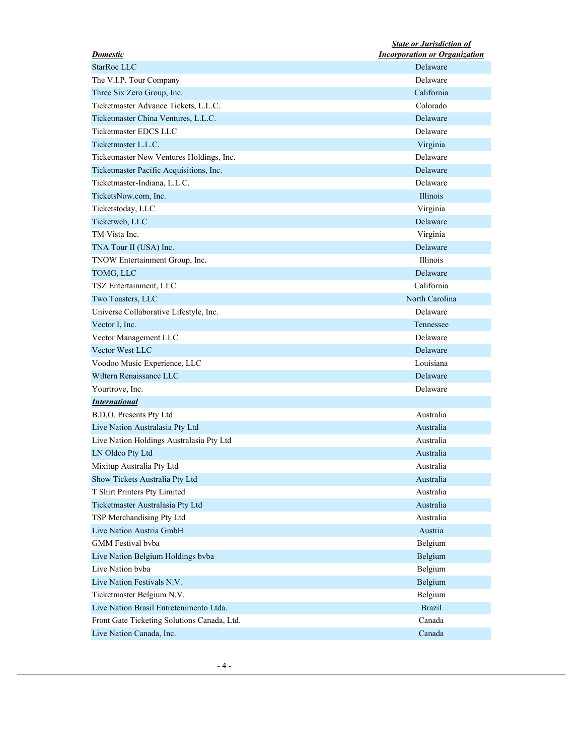| <b>Domestic</b>                             | <b>State or Jurisdiction of</b><br><b>Incorporation or Organization</b> |
|---------------------------------------------|-------------------------------------------------------------------------|
| StarRoc LLC                                 | Delaware                                                                |
| The V.I.P. Tour Company                     | Delaware                                                                |
| Three Six Zero Group, Inc.                  | California                                                              |
| Ticketmaster Advance Tickets, L.L.C.        | Colorado                                                                |
| Ticketmaster China Ventures, L.L.C.         | Delaware                                                                |
| Ticketmaster EDCS LLC                       | Delaware                                                                |
| Ticketmaster L.L.C.                         | Virginia                                                                |
| Ticketmaster New Ventures Holdings, Inc.    | Delaware                                                                |
|                                             | Delaware                                                                |
| Ticketmaster Pacific Acquisitions, Inc.     |                                                                         |
| Ticketmaster-Indiana, L.L.C.                | Delaware                                                                |
| TicketsNow.com, Inc.                        | Illinois                                                                |
| Ticketstoday, LLC                           | Virginia                                                                |
| Ticketweb, LLC                              | Delaware                                                                |
| TM Vista Inc.                               | Virginia                                                                |
| TNA Tour II (USA) Inc.                      | Delaware                                                                |
| TNOW Entertainment Group, Inc.              | Illinois                                                                |
| TOMG, LLC                                   | Delaware                                                                |
| TSZ Entertainment, LLC                      | California                                                              |
| Two Toasters, LLC                           | North Carolina                                                          |
| Universe Collaborative Lifestyle, Inc.      | Delaware                                                                |
| Vector I, Inc.                              | Tennessee                                                               |
| Vector Management LLC                       | Delaware                                                                |
| Vector West LLC                             | Delaware                                                                |
| Voodoo Music Experience, LLC                | Louisiana                                                               |
| Wiltern Renaissance LLC                     | Delaware                                                                |
| Yourtrove, Inc.                             | Delaware                                                                |
| <b>International</b>                        |                                                                         |
| B.D.O. Presents Pty Ltd                     | Australia                                                               |
| Live Nation Australasia Pty Ltd             | Australia                                                               |
| Live Nation Holdings Australasia Pty Ltd    | Australia                                                               |
| LN Oldco Pty Ltd                            | Australia                                                               |
| Mixitup Australia Pty Ltd                   | Australia                                                               |
|                                             | Australia                                                               |
| Show Tickets Australia Pty Ltd              |                                                                         |
| T Shirt Printers Pty Limited                | Australia                                                               |
| Ticketmaster Australasia Pty Ltd            | Australia                                                               |
| TSP Merchandising Pty Ltd                   | Australia                                                               |
| Live Nation Austria GmbH                    | Austria                                                                 |
| GMM Festival bvba                           | Belgium                                                                 |
| Live Nation Belgium Holdings bvba           | Belgium                                                                 |
| Live Nation byba                            | Belgium                                                                 |
| Live Nation Festivals N.V.                  | Belgium                                                                 |
| Ticketmaster Belgium N.V.                   | Belgium                                                                 |
| Live Nation Brasil Entretenimento Ltda.     | <b>Brazil</b>                                                           |
| Front Gate Ticketing Solutions Canada, Ltd. | Canada                                                                  |
| Live Nation Canada, Inc.                    | Canada                                                                  |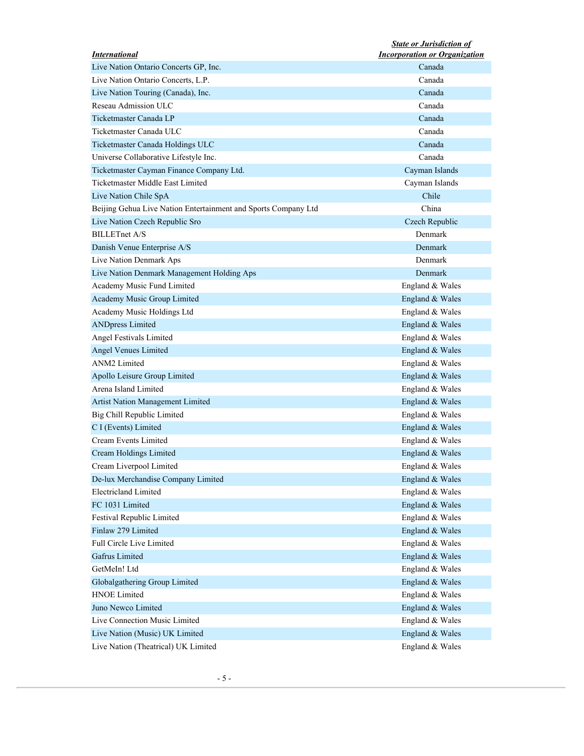| <i><b>International</b></i>                                    | <b>State or Jurisdiction of</b><br><b>Incorporation or Organization</b> |
|----------------------------------------------------------------|-------------------------------------------------------------------------|
| Live Nation Ontario Concerts GP, Inc.                          | Canada                                                                  |
| Live Nation Ontario Concerts, L.P.                             | Canada                                                                  |
| Live Nation Touring (Canada), Inc.                             | Canada                                                                  |
| Reseau Admission ULC                                           | Canada                                                                  |
| Ticketmaster Canada LP                                         | Canada                                                                  |
| Ticketmaster Canada ULC                                        | Canada                                                                  |
| Ticketmaster Canada Holdings ULC                               | Canada                                                                  |
| Universe Collaborative Lifestyle Inc.                          | Canada                                                                  |
| Ticketmaster Cayman Finance Company Ltd.                       | Cayman Islands                                                          |
| Ticketmaster Middle East Limited                               | Cayman Islands                                                          |
| Live Nation Chile SpA                                          | Chile                                                                   |
| Beijing Gehua Live Nation Entertainment and Sports Company Ltd | China                                                                   |
| Live Nation Czech Republic Sro                                 | Czech Republic                                                          |
| <b>BILLETnet A/S</b>                                           | Denmark                                                                 |
| Danish Venue Enterprise A/S                                    | Denmark                                                                 |
| Live Nation Denmark Aps                                        | Denmark                                                                 |
| Live Nation Denmark Management Holding Aps                     | Denmark                                                                 |
| Academy Music Fund Limited                                     | England & Wales                                                         |
| Academy Music Group Limited                                    | England & Wales                                                         |
| Academy Music Holdings Ltd                                     | England & Wales                                                         |
| <b>ANDpress Limited</b>                                        | England & Wales                                                         |
| Angel Festivals Limited                                        | England & Wales                                                         |
| Angel Venues Limited                                           | England & Wales                                                         |
| ANM2 Limited                                                   | England & Wales                                                         |
|                                                                |                                                                         |
| Apollo Leisure Group Limited<br>Arena Island Limited           | England & Wales                                                         |
|                                                                | England & Wales                                                         |
| Artist Nation Management Limited                               | England & Wales                                                         |
| Big Chill Republic Limited                                     | England & Wales                                                         |
| C I (Events) Limited                                           | England & Wales                                                         |
| Cream Events Limited                                           | England & Wales                                                         |
| Cream Holdings Limited                                         | England & Wales                                                         |
| Cream Liverpool Limited                                        | England & Wales                                                         |
| De-lux Merchandise Company Limited                             | England & Wales                                                         |
| <b>Electricland Limited</b>                                    | England & Wales                                                         |
| FC 1031 Limited                                                | England & Wales                                                         |
| Festival Republic Limited                                      | England & Wales                                                         |
| Finlaw 279 Limited                                             | England & Wales                                                         |
| Full Circle Live Limited                                       | England & Wales                                                         |
| Gafrus Limited                                                 | England & Wales                                                         |
| GetMeIn! Ltd                                                   | England & Wales                                                         |
| Globalgathering Group Limited                                  | England & Wales                                                         |
| <b>HNOE Limited</b>                                            | England & Wales                                                         |
| Juno Newco Limited                                             | England & Wales                                                         |
| Live Connection Music Limited                                  | England & Wales                                                         |
| Live Nation (Music) UK Limited                                 | England & Wales                                                         |
| Live Nation (Theatrical) UK Limited                            | England & Wales                                                         |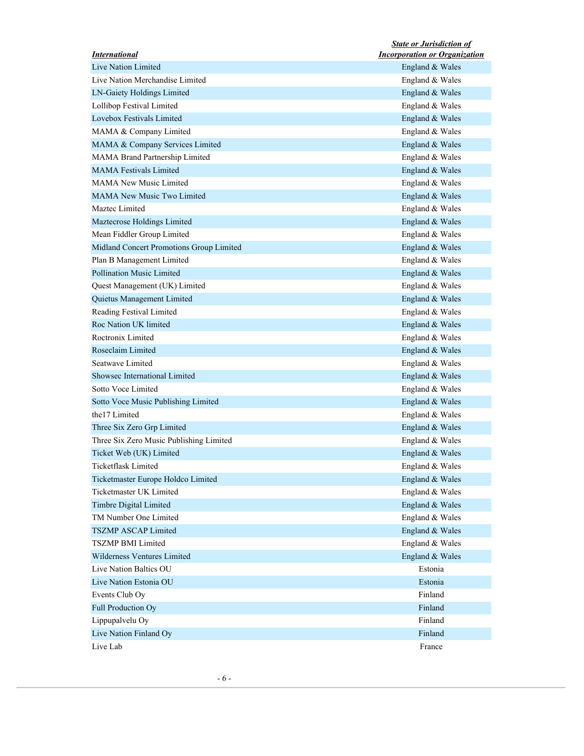|                                          | <b>State or Jurisdiction of</b>      |
|------------------------------------------|--------------------------------------|
| <b>International</b>                     | <b>Incorporation or Organization</b> |
| Live Nation Limited                      | England & Wales                      |
| Live Nation Merchandise Limited          | England & Wales                      |
| LN-Gaiety Holdings Limited               | England & Wales                      |
| Lollibop Festival Limited                | England & Wales                      |
| Lovebox Festivals Limited                | England & Wales                      |
| MAMA & Company Limited                   | England & Wales                      |
| MAMA & Company Services Limited          | England & Wales                      |
| MAMA Brand Partnership Limited           | England & Wales                      |
| <b>MAMA Festivals Limited</b>            | England & Wales                      |
| <b>MAMA New Music Limited</b>            | England & Wales                      |
| <b>MAMA New Music Two Limited</b>        | England & Wales                      |
| Maztec Limited                           | England & Wales                      |
| Maztecrose Holdings Limited              | England & Wales                      |
| Mean Fiddler Group Limited               | England & Wales                      |
| Midland Concert Promotions Group Limited | England & Wales                      |
| Plan B Management Limited                | England & Wales                      |
| <b>Pollination Music Limited</b>         | England & Wales                      |
| Quest Management (UK) Limited            | England & Wales                      |
| Quietus Management Limited               | England & Wales                      |
| Reading Festival Limited                 | England & Wales                      |
| Roc Nation UK limited                    | England & Wales                      |
| Roctronix Limited                        | England & Wales                      |
| Roseclaim Limited                        | England & Wales                      |
| Seatwave Limited                         | England & Wales                      |
| Showsec International Limited            |                                      |
| Sotto Voce Limited                       | England & Wales                      |
|                                          | England & Wales                      |
| Sotto Voce Music Publishing Limited      | England & Wales                      |
| the 17 Limited                           | England & Wales                      |
| Three Six Zero Grp Limited               | England & Wales                      |
| Three Six Zero Music Publishing Limited  | England & Wales                      |
| Ticket Web (UK) Limited                  | England & Wales                      |
| Ticketflask Limited                      | England & Wales                      |
| Ticketmaster Europe Holdco Limited       | England & Wales                      |
| Ticketmaster UK Limited                  | England & Wales                      |
| Timbre Digital Limited                   | England & Wales                      |
| TM Number One Limited                    | England & Wales                      |
| <b>TSZMP ASCAP Limited</b>               | England & Wales                      |
| TSZMP BMI Limited                        | England & Wales                      |
| Wilderness Ventures Limited              | England & Wales                      |
| Live Nation Baltics OU                   | Estonia                              |
| Live Nation Estonia OU                   | Estonia                              |
| Events Club Oy                           | Finland                              |
| Full Production Oy                       | Finland                              |
| Lippupalvelu Oy                          | Finland                              |
|                                          | Finland                              |
| Live Nation Finland Oy                   |                                      |
| Live Lab                                 | France                               |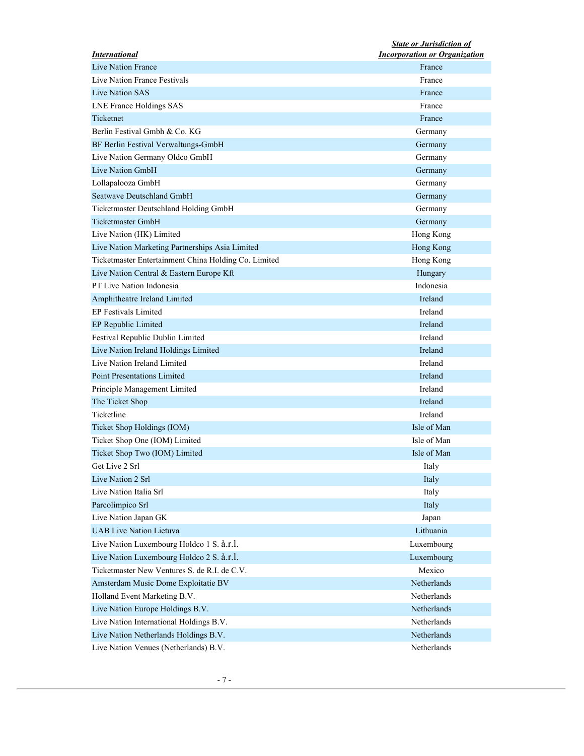| <b>International</b>                                 | <b>State or Jurisdiction of</b><br><b>Incorporation or Organization</b> |
|------------------------------------------------------|-------------------------------------------------------------------------|
| Live Nation France                                   | France                                                                  |
| Live Nation France Festivals                         | France                                                                  |
| Live Nation SAS                                      | France                                                                  |
| <b>LNE France Holdings SAS</b>                       | France                                                                  |
| Ticketnet                                            | France                                                                  |
| Berlin Festival Gmbh & Co. KG                        | Germany                                                                 |
| BF Berlin Festival Verwaltungs-GmbH                  | Germany                                                                 |
| Live Nation Germany Oldco GmbH                       | Germany                                                                 |
| Live Nation GmbH                                     | Germany                                                                 |
| Lollapalooza GmbH                                    | Germany                                                                 |
| Seatwave Deutschland GmbH                            | Germany                                                                 |
| Ticketmaster Deutschland Holding GmbH                | Germany                                                                 |
| <b>Ticketmaster GmbH</b>                             |                                                                         |
|                                                      | Germany                                                                 |
| Live Nation (HK) Limited                             | Hong Kong                                                               |
| Live Nation Marketing Partnerships Asia Limited      | Hong Kong                                                               |
| Ticketmaster Entertainment China Holding Co. Limited | Hong Kong                                                               |
| Live Nation Central & Eastern Europe Kft             | Hungary                                                                 |
| <b>PT Live Nation Indonesia</b>                      | Indonesia                                                               |
| Amphitheatre Ireland Limited                         | Ireland                                                                 |
| <b>EP Festivals Limited</b>                          | Ireland                                                                 |
| EP Republic Limited                                  | Ireland                                                                 |
| Festival Republic Dublin Limited                     | Ireland                                                                 |
| Live Nation Ireland Holdings Limited                 | Ireland                                                                 |
| Live Nation Ireland Limited                          | Ireland                                                                 |
| <b>Point Presentations Limited</b>                   | Ireland                                                                 |
| Principle Management Limited                         | Ireland                                                                 |
| The Ticket Shop                                      | Ireland                                                                 |
| Ticketline                                           | Ireland                                                                 |
| Ticket Shop Holdings (IOM)                           | Isle of Man                                                             |
| Ticket Shop One (IOM) Limited                        | Isle of Man                                                             |
| Ticket Shop Two (IOM) Limited                        | Isle of Man                                                             |
| Get Live 2 Srl                                       | Italy                                                                   |
| Live Nation 2 Srl                                    | Italy                                                                   |
| Live Nation Italia Srl                               | Italy                                                                   |
| Parcolimpico Srl                                     | Italy                                                                   |
| Live Nation Japan GK                                 | Japan                                                                   |
| <b>UAB</b> Live Nation Lietuva                       | Lithuania                                                               |
| Live Nation Luxembourg Holdco 1 S. à.r.l.            | Luxembourg                                                              |
|                                                      |                                                                         |
| Live Nation Luxembourg Holdco 2 S. à.r.l.            | Luxembourg                                                              |
| Ticketmaster New Ventures S. de R.I. de C.V.         | Mexico                                                                  |
| Amsterdam Music Dome Exploitatie BV                  | Netherlands                                                             |
| Holland Event Marketing B.V.                         | Netherlands                                                             |
| Live Nation Europe Holdings B.V.                     | Netherlands                                                             |
| Live Nation International Holdings B.V.              | Netherlands                                                             |
| Live Nation Netherlands Holdings B.V.                | Netherlands                                                             |
| Live Nation Venues (Netherlands) B.V.                | Netherlands                                                             |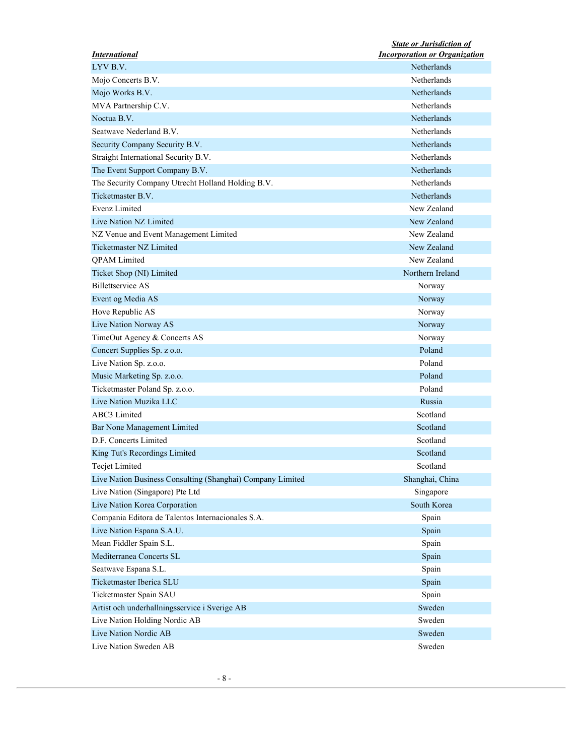|                                                            | <b>State or Jurisdiction of</b>      |
|------------------------------------------------------------|--------------------------------------|
| <i><b>International</b></i>                                | <b>Incorporation or Organization</b> |
| LYV B.V.                                                   | Netherlands                          |
| Mojo Concerts B.V.                                         | Netherlands                          |
| Mojo Works B.V.                                            | Netherlands                          |
| MVA Partnership C.V.                                       | Netherlands                          |
| Noctua B.V.                                                | Netherlands                          |
| Seatwave Nederland B.V.                                    | Netherlands                          |
| Security Company Security B.V.                             | Netherlands                          |
| Straight International Security B.V.                       | Netherlands                          |
| The Event Support Company B.V.                             | Netherlands                          |
| The Security Company Utrecht Holland Holding B.V.          | Netherlands                          |
| Ticketmaster B.V.                                          | Netherlands                          |
| Evenz Limited                                              | New Zealand                          |
| Live Nation NZ Limited                                     | New Zealand                          |
| NZ Venue and Event Management Limited                      | New Zealand                          |
| <b>Ticketmaster NZ Limited</b>                             | New Zealand                          |
| <b>QPAM</b> Limited                                        | New Zealand                          |
| Ticket Shop (NI) Limited                                   | Northern Ireland                     |
| <b>Billettservice AS</b>                                   | Norway                               |
| Event og Media AS                                          | Norway                               |
| Hove Republic AS                                           | Norway                               |
| Live Nation Norway AS                                      | Norway                               |
| TimeOut Agency & Concerts AS                               | Norway                               |
|                                                            | Poland                               |
| Concert Supplies Sp. z o.o.                                | Poland                               |
| Live Nation Sp. z.o.o.                                     | Poland                               |
| Music Marketing Sp. z.o.o.                                 |                                      |
| Ticketmaster Poland Sp. z.o.o.                             | Poland                               |
| Live Nation Muzika LLC                                     | Russia                               |
| ABC3 Limited                                               | Scotland                             |
| Bar None Management Limited                                | Scotland                             |
| D.F. Concerts Limited                                      | Scotland                             |
| King Tut's Recordings Limited                              | Scotland                             |
| <b>Tecjet Limited</b>                                      | Scotland                             |
| Live Nation Business Consulting (Shanghai) Company Limited | Shanghai, China                      |
| Live Nation (Singapore) Pte Ltd                            | Singapore                            |
| Live Nation Korea Corporation                              | South Korea                          |
| Compania Editora de Talentos Internacionales S.A.          | Spain                                |
| Live Nation Espana S.A.U.                                  | Spain                                |
| Mean Fiddler Spain S.L.                                    | Spain                                |
| Mediterranea Concerts SL                                   | Spain                                |
| Seatwave Espana S.L.                                       | Spain                                |
| Ticketmaster Iberica SLU                                   | Spain                                |
| Ticketmaster Spain SAU                                     | Spain                                |
| Artist och underhallningsservice i Sverige AB              | Sweden                               |
|                                                            | Sweden                               |
| Live Nation Holding Nordic AB                              |                                      |
| Live Nation Nordic AB                                      | Sweden                               |
| Live Nation Sweden AB                                      | Sweden                               |